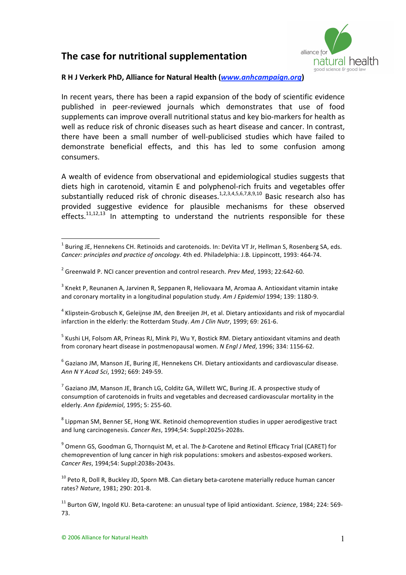## **The
case
for
nutritional
supplementation**



## **R
H
J
Verkerk
PhD,
Alliance
for
Natural
Health
(***www.anhcampaign.org***)**

In recent years, there has been a rapid expansion of the body of scientific evidence published in
 peer‐reviewed
 journals
 which
 demonstrates
 that
 use
 of
 food supplements
can
improve
overall
nutritional
status
and
key
bio‐markers
for
health
as well as reduce risk of chronic diseases such as heart disease and cancer. In contrast, there have been a small number of well-publicised studies which have failed to demonstrate beneficial effects, and this has led to some confusion among consumers.

A wealth of evidence from observational and epidemiological studies suggests that diets high in carotenoid, vitamin E and polyphenol-rich fruits and vegetables offer substantially reduced risk of chronic diseases.<sup>1,2,3,4,5,6,7,8,9,10</sup> Basic research also has provided
 suggestive
 evidence
 for
 plausible
 mechanisms
 for
 these
 observed effects.<sup>11,12,13</sup> In attempting to understand the nutrients responsible for these

<sup>4</sup> Klipstein-Grobusch K, Geleijnse JM, den Breeijen JH, et al. Dietary antioxidants and risk of myocardial infarction in the elderly: the Rotterdam Study. Am J Clin Nutr, 1999; 69: 261-6.

<sup>5</sup> Kushi LH, Folsom AR, Prineas RJ, Mink PJ, Wu Y, Bostick RM. Dietary antioxidant vitamins and death from coronary heart disease in postmenopausal women. N Engl J Med, 1996; 334: 1156-62.

<sup>6</sup> Gaziano JM, Manson JE, Buring JE, Hennekens CH. Dietary antioxidants and cardiovascular disease. *Ann
N
Y
Acad
Sci*,
1992;
669:
249‐59.

<sup>7</sup> Gaziano JM, Manson JE, Branch LG, Colditz GA, Willett WC, Buring JE. A prospective study of consumption of carotenoids in fruits and vegetables and decreased cardiovascular mortality in the elderly. *Ann
Epidemiol*,
1995;
5:
255‐60.

<sup>8</sup> Lippman SM, Benner SE, Hong WK. Retinoid chemoprevention studies in upper aerodigestive tract and
lung
carcinogenesis. *Cancer
Res*,
1994;54:
Suppl:2025s‐2028s.

<sup>9</sup> Omenn GS, Goodman G, Thornquist M, et al. The *b*-Carotene and Retinol Efficacy Trial (CARET) for chemoprevention
of
lung
cancer
in
high
risk
populations:
smokers
and
asbestos‐exposed
workers. *Cancer
Res*,
1994;54:
Suppl:2038s‐2043s.

<sup>10</sup> Peto R, Doll R, Buckley JD, Sporn MB. Can dietary beta-carotene materially reduce human cancer rates? *Nature*,
1981;
290:
201‐8.

<sup>11</sup> Burton GW, Ingold KU, Beta-carotene: an unusual type of lipid antioxidant. *Science*, 1984; 224: 569-73.

 $\frac{1}{1}$ <sup>1</sup> Buring JE, Hennekens CH. Retinoids and carotenoids. In: DeVita VT Jr, Hellman S, Rosenberg SA, eds. Cancer: principles and practice of oncology. 4th ed. Philadelphia: J.B. Lippincott, 1993: 464-74.

<sup>&</sup>lt;sup>2</sup> Greenwald P. NCI cancer prevention and control research. Prev Med, 1993; 22:642-60.

<sup>&</sup>lt;sup>3</sup> Knekt P, Reunanen A, Jarvinen R, Seppanen R, Heliovaara M, Aromaa A. Antioxidant vitamin intake and coronary mortality in a longitudinal population study. Am J Epidemiol 1994; 139: 1180-9.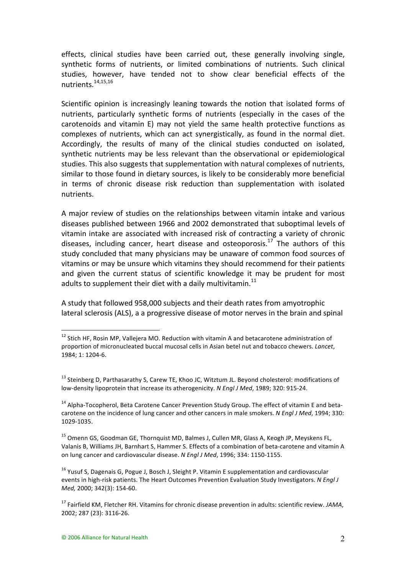effects, clinical studies have been carried out, these generally involving single, synthetic forms of nutrients, or limited combinations of nutrients. Such clinical studies, however, have tended not to show clear beneficial effects of the nutrients.14,15,16

Scientific opinion is increasingly leaning towards the notion that isolated forms of nutrients, particularly synthetic forms of nutrients (especially in the cases of the carotenoids and vitamin E) may not vield the same health protective functions as complexes of nutrients, which can act synergistically, as found in the normal diet. Accordingly, the results of many of the clinical studies conducted on isolated, synthetic nutrients may be less relevant than the observational or epidemiological studies. This also suggests that supplementation with natural complexes of nutrients, similar to those found in dietary sources, is likely to be considerably more beneficial in
 terms
 of
 chronic
 disease
 risk
 reduction
 than
 supplementation
 with
 isolated nutrients.

A major review of studies on the relationships between vitamin intake and various diseases
published
between
1966
and
2002
demonstrated
that
suboptimal
levels
of vitamin intake are associated with increased risk of contracting a variety of chronic diseases, including cancer, heart disease and osteoporosis.<sup>17</sup> The authors of this study concluded that many physicians may be unaware of common food sources of vitamins or may be unsure which vitamins they should recommend for their patients and given the current status of scientific knowledge it may be prudent for most adults to supplement their diet with a daily multivitamin. $^{11}$ 

A
study
that
followed
958,000
subjects
and
their
death
rates
from
amyotrophic lateral sclerosis (ALS), a a progressive disease of motor nerves in the brain and spinal

<sup>&</sup>lt;sup>12</sup> Stich HF, Rosin MP, Vallejera MO. Reduction with vitamin A and betacarotene administration of proportion of micronucleated buccal mucosal cells in Asian betel nut and tobacco chewers. *Lancet*, 1984;
1:
1204‐6.

<sup>&</sup>lt;sup>13</sup> Steinberg D, Parthasarathy S, Carew TE, Khoo JC, Witztum JL. Beyond cholesterol: modifications of low-density lipoprotein that increase its atherogenicity. N Engl J Med, 1989; 320: 915-24.

<sup>&</sup>lt;sup>14</sup> Alpha-Tocopherol, Beta Carotene Cancer Prevention Study Group. The effect of vitamin E and betacarotene on the incidence of lung cancer and other cancers in male smokers. *N Engl J Med*, 1994; 330: 1029‐1035.

<sup>&</sup>lt;sup>15</sup> Omenn GS, Goodman GE, Thornquist MD, Balmes J, Cullen MR, Glass A, Keogh JP, Meyskens FL, Valanis B. Williams JH, Barnhart S, Hammer S, Effects of a combination of beta-carotene and vitamin A on lung cancer and cardiovascular disease. N Engl J Med, 1996; 334: 1150-1155.

<sup>&</sup>lt;sup>16</sup> Yusuf S, Dagenais G, Pogue J, Bosch J, Sleight P. Vitamin E supplementation and cardiovascular events in high-risk patients. The Heart Outcomes Prevention Evaluation Study Investigators. N Engl J *Med,*2000;
342(3):
154‐60.

<sup>&</sup>lt;sup>17</sup> Fairfield KM. Fletcher RH. Vitamins for chronic disease prevention in adults: scientific review. *JAMA*, 2002;
287
(23):
3116‐26.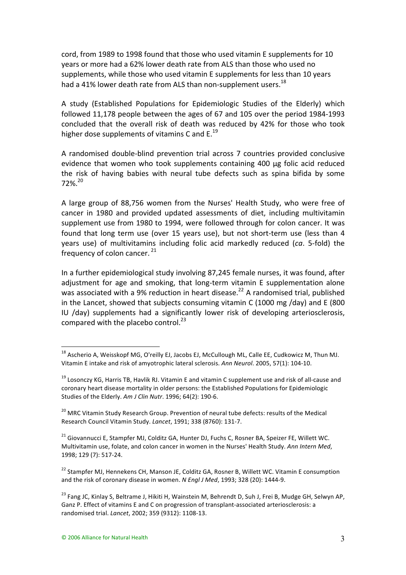cord,
from 1989
to
1998
found
that
those
who
used
vitamin
E
supplements
for
10 years
or
more
had
a
62%
lower
death
rate
from
ALS
than
those
who
used
no supplements, while those who used vitamin E supplements for less than 10 years had a 41% lower death rate from ALS than non-supplement users.<sup>18</sup>

A study (Established Populations for Epidemiologic Studies of the Elderly) which followed 11,178 people between the ages of 67 and 105 over the period 1984-1993 concluded
 that
 the
 overall
 risk
 of
 death
 was
 reduced
 by
 42%
 for
 those
 who
 took higher dose supplements of vitamins C and  $E^{19}$ 

A randomised double-blind prevention trial across 7 countries provided conclusive evidence that women who took supplements containing 400 μg folic acid reduced the risk of having babies with neural tube defects such as spina bifida by some 72%.20

A large group of 88,756 women from the Nurses' Health Study, who were free of cancer
 in
 1980
 and
 provided
 updated
 assessments
 of
 diet,
 including
 multivitamin supplement use from 1980 to 1994, were followed through for colon cancer. It was found that long term use (over 15 years use), but not short-term use (less than 4 years use) of multivitamins including folic acid markedly reduced (*ca*. 5-fold) the frequency of colon cancer.<sup>21</sup>

In a further epidemiological study involving 87,245 female nurses, it was found, after adjustment for age and smoking, that long-term vitamin E supplementation alone was associated with a 9% reduction in heart disease.<sup>22</sup> A randomised trial, published in the Lancet, showed that subjects consuming vitamin C (1000 mg /day) and E (800 IU /day) supplements had a significantly lower risk of developing arteriosclerosis, compared with the placebo control.<sup>23</sup>

<sup>&</sup>lt;sup>18</sup> Ascherio A, Weisskopf MG, O'reilly EJ, Jacobs EJ, McCullough ML, Calle EE, Cudkowicz M, Thun MJ, Vitamin
E
intake
and
risk
of
amyotrophic
lateral
sclerosis. *Ann
Neurol*.
2005,
57(1):
104‐10.

<sup>&</sup>lt;sup>19</sup> Losonczv KG, Harris TB, Havlik RJ. Vitamin E and vitamin C supplement use and risk of all-cause and coronary
heart
disease
mortality
in
older
persons:
the
Established
Populations
for
Epidemiologic Studies
of
the
Elderly. *Am
J
Clin
Nutr*.
1996;
64(2):
190‐6.

<sup>&</sup>lt;sup>20</sup> MRC Vitamin Study Research Group. Prevention of neural tube defects: results of the Medical Research
Council
Vitamin
Study. *Lancet*,
1991;
338
(8760):
131‐7.

<sup>&</sup>lt;sup>21</sup> Giovannucci E, Stampfer MJ, Colditz GA, Hunter DJ, Fuchs C, Rosner BA, Speizer FE, Willett WC. Multivitamin use, folate, and colon cancer in women in the Nurses' Health Study, *Ann Intern Med*, 1998;
129
(7):
517‐24.

<sup>&</sup>lt;sup>22</sup> Stampfer MJ, Hennekens CH, Manson JE, Colditz GA, Rosner B, Willett WC. Vitamin E consumption and the risk of coronary disease in women. *N Engl J Med*, 1993; 328 (20): 1444-9.

<sup>&</sup>lt;sup>23</sup> Fang JC, Kinlay S, Beltrame J, Hikiti H, Wainstein M, Behrendt D, Suh J, Frei B, Mudge GH, Selwyn AP, Ganz P. Effect of vitamins E and C on progression of transplant-associated arteriosclerosis: a randomised
trial. *Lancet*,
2002;
359
(9312):
1108‐13.